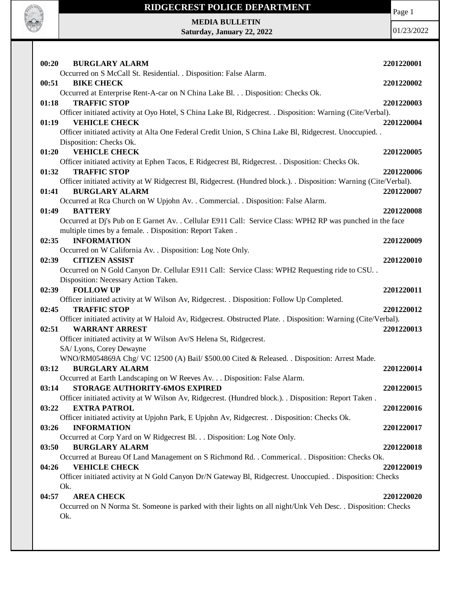

# **RIDGECREST POLICE DEPARTMENT MEDIA BULLETIN**

**Saturday, January 22, 2022**

Page 1

| 00:20<br><b>BURGLARY ALARM</b>                                                                                                               | 2201220001 |
|----------------------------------------------------------------------------------------------------------------------------------------------|------------|
| Occurred on S McCall St. Residential. . Disposition: False Alarm.                                                                            |            |
| 00:51<br><b>BIKE CHECK</b>                                                                                                                   | 2201220002 |
| Occurred at Enterprise Rent-A-car on N China Lake Bl. Disposition: Checks Ok.                                                                |            |
| <b>TRAFFIC STOP</b><br>01:18                                                                                                                 | 2201220003 |
| Officer initiated activity at Oyo Hotel, S China Lake Bl, Ridgecrest. . Disposition: Warning (Cite/Verbal).<br><b>VEHICLE CHECK</b><br>01:19 | 2201220004 |
| Officer initiated activity at Alta One Federal Credit Union, S China Lake Bl, Ridgecrest. Unoccupied                                         |            |
| Disposition: Checks Ok.                                                                                                                      |            |
| <b>VEHICLE CHECK</b><br>01:20                                                                                                                | 2201220005 |
| Officer initiated activity at Ephen Tacos, E Ridgecrest Bl, Ridgecrest. . Disposition: Checks Ok.                                            |            |
| 01:32<br><b>TRAFFIC STOP</b>                                                                                                                 | 2201220006 |
| Officer initiated activity at W Ridgecrest Bl, Ridgecrest. (Hundred block.). Disposition: Warning (Cite/Verbal).                             |            |
| <b>BURGLARY ALARM</b><br>01:41                                                                                                               | 2201220007 |
| Occurred at Rca Church on W Upjohn Av. . Commercial. . Disposition: False Alarm.                                                             |            |
| 01:49<br><b>BATTERY</b>                                                                                                                      | 2201220008 |
| Occurred at Dj's Pub on E Garnet Av. . Cellular E911 Call: Service Class: WPH2 RP was punched in the face                                    |            |
| multiple times by a female. . Disposition: Report Taken.                                                                                     |            |
| <b>INFORMATION</b><br>02:35                                                                                                                  | 2201220009 |
| Occurred on W California Av. . Disposition: Log Note Only.                                                                                   |            |
| 02:39<br><b>CITIZEN ASSIST</b>                                                                                                               | 2201220010 |
| Occurred on N Gold Canyon Dr. Cellular E911 Call: Service Class: WPH2 Requesting ride to CSU                                                 |            |
| Disposition: Necessary Action Taken.                                                                                                         |            |
| <b>FOLLOW UP</b><br>02:39                                                                                                                    | 2201220011 |
| Officer initiated activity at W Wilson Av, Ridgecrest. . Disposition: Follow Up Completed.                                                   |            |
| <b>TRAFFIC STOP</b><br>02:45                                                                                                                 | 2201220012 |
| Officer initiated activity at W Haloid Av, Ridgecrest. Obstructed Plate. . Disposition: Warning (Cite/Verbal).                               |            |
| 02:51<br><b>WARRANT ARREST</b>                                                                                                               | 2201220013 |
| Officer initiated activity at W Wilson Av/S Helena St, Ridgecrest.                                                                           |            |
| SA/ Lyons, Corey Dewayne<br>WNO/RM054869A Chg/VC 12500 (A) Bail/ \$500.00 Cited & Released. . Disposition: Arrest Made.                      |            |
| 03:12<br><b>BURGLARY ALARM</b>                                                                                                               | 2201220014 |
| Occurred at Earth Landscaping on W Reeves Av. Disposition: False Alarm.                                                                      |            |
| STORAGE AUTHORITY-6MOS EXPIRED<br>03:14                                                                                                      | 2201220015 |
| Officer initiated activity at W Wilson Av, Ridgecrest. (Hundred block.). . Disposition: Report Taken.                                        |            |
| 03:22<br><b>EXTRA PATROL</b>                                                                                                                 | 2201220016 |
| Officer initiated activity at Upjohn Park, E Upjohn Av, Ridgecrest. . Disposition: Checks Ok.                                                |            |
| 03:26<br><b>INFORMATION</b>                                                                                                                  | 2201220017 |
| Occurred at Corp Yard on W Ridgecrest Bl. Disposition: Log Note Only.                                                                        |            |
| <b>BURGLARY ALARM</b><br>03:50                                                                                                               | 2201220018 |
| Occurred at Bureau Of Land Management on S Richmond Rd. . Commerical. . Disposition: Checks Ok.                                              |            |
| <b>VEHICLE CHECK</b><br>04:26                                                                                                                | 2201220019 |
| Officer initiated activity at N Gold Canyon Dr/N Gateway Bl, Ridgecrest. Unoccupied. . Disposition: Checks                                   |            |
| Ok.                                                                                                                                          |            |
| <b>AREA CHECK</b><br>04:57                                                                                                                   | 2201220020 |
| Occurred on N Norma St. Someone is parked with their lights on all night/Unk Veh Desc. . Disposition: Checks                                 |            |
| Ok.                                                                                                                                          |            |
|                                                                                                                                              |            |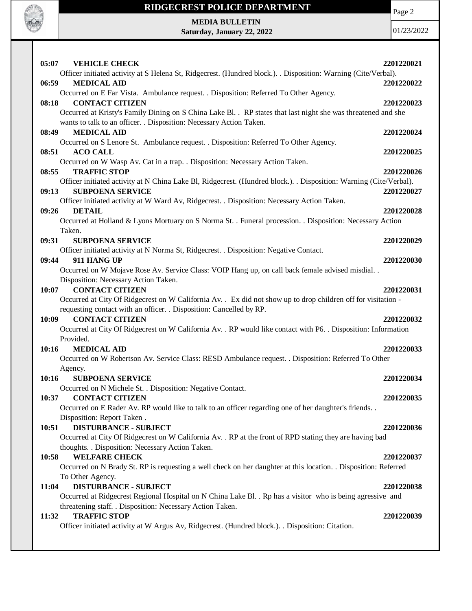

**MEDIA BULLETIN Saturday, January 22, 2022**

**RADIO REAL** 

| 05:07 | <b>VEHICLE CHECK</b>                                                                                                                          | 2201220021 |
|-------|-----------------------------------------------------------------------------------------------------------------------------------------------|------------|
|       | Officer initiated activity at S Helena St, Ridgecrest. (Hundred block.). Disposition: Warning (Cite/Verbal).                                  |            |
| 06:59 | <b>MEDICAL AID</b>                                                                                                                            | 2201220022 |
|       | Occurred on E Far Vista. Ambulance request. . Disposition: Referred To Other Agency.                                                          |            |
| 08:18 | <b>CONTACT CITIZEN</b>                                                                                                                        | 2201220023 |
|       | Occurred at Kristy's Family Dining on S China Lake Bl. . RP states that last night she was threatened and she                                 |            |
|       | wants to talk to an officer. . Disposition: Necessary Action Taken.                                                                           |            |
| 08:49 | <b>MEDICAL AID</b>                                                                                                                            | 2201220024 |
|       | Occurred on S Lenore St. Ambulance request. . Disposition: Referred To Other Agency.                                                          |            |
| 08:51 | <b>ACO CALL</b>                                                                                                                               | 2201220025 |
|       | Occurred on W Wasp Av. Cat in a trap. . Disposition: Necessary Action Taken.                                                                  |            |
| 08:55 | <b>TRAFFIC STOP</b>                                                                                                                           | 2201220026 |
| 09:13 | Officer initiated activity at N China Lake Bl, Ridgecrest. (Hundred block.). . Disposition: Warning (Cite/Verbal).<br><b>SUBPOENA SERVICE</b> | 2201220027 |
|       | Officer initiated activity at W Ward Av, Ridgecrest. . Disposition: Necessary Action Taken.                                                   |            |
| 09:26 | <b>DETAIL</b>                                                                                                                                 | 2201220028 |
|       | Occurred at Holland & Lyons Mortuary on S Norma St. . Funeral procession. . Disposition: Necessary Action                                     |            |
|       | Taken.                                                                                                                                        |            |
| 09:31 | <b>SUBPOENA SERVICE</b>                                                                                                                       | 2201220029 |
|       | Officer initiated activity at N Norma St, Ridgecrest. . Disposition: Negative Contact.                                                        |            |
| 09:44 | 911 HANG UP                                                                                                                                   | 2201220030 |
|       | Occurred on W Mojave Rose Av. Service Class: VOIP Hang up, on call back female advised misdial                                                |            |
|       | Disposition: Necessary Action Taken.                                                                                                          |            |
| 10:07 | <b>CONTACT CITIZEN</b>                                                                                                                        | 2201220031 |
|       | Occurred at City Of Ridgecrest on W California Av. . Ex did not show up to drop children off for visitation -                                 |            |
|       | requesting contact with an officer. . Disposition: Cancelled by RP.                                                                           |            |
| 10:09 | <b>CONTACT CITIZEN</b>                                                                                                                        | 2201220032 |
|       | Occurred at City Of Ridgecrest on W California Av. . RP would like contact with P6. . Disposition: Information                                |            |
|       | Provided.                                                                                                                                     |            |
| 10:16 | <b>MEDICAL AID</b>                                                                                                                            | 2201220033 |
|       | Occurred on W Robertson Av. Service Class: RESD Ambulance request. . Disposition: Referred To Other                                           |            |
|       | Agency.                                                                                                                                       |            |
| 10:16 | <b>SUBPOENA SERVICE</b>                                                                                                                       | 2201220034 |
|       | Occurred on N Michele St. . Disposition: Negative Contact.                                                                                    |            |
| 10:37 | <b>CONTACT CITIZEN</b>                                                                                                                        | 2201220035 |
|       | Occurred on E Rader Av. RP would like to talk to an officer regarding one of her daughter's friends. .<br>Disposition: Report Taken.          |            |
| 10:51 | <b>DISTURBANCE - SUBJECT</b>                                                                                                                  | 2201220036 |
|       | Occurred at City Of Ridgecrest on W California Av. . RP at the front of RPD stating they are having bad                                       |            |
|       | thoughts. . Disposition: Necessary Action Taken.                                                                                              |            |
| 10:58 | <b>WELFARE CHECK</b>                                                                                                                          | 2201220037 |
|       | Occurred on N Brady St. RP is requesting a well check on her daughter at this location. . Disposition: Referred                               |            |
|       | To Other Agency.                                                                                                                              |            |
| 11:04 | <b>DISTURBANCE - SUBJECT</b>                                                                                                                  | 2201220038 |
|       | Occurred at Ridgecrest Regional Hospital on N China Lake Bl. . Rp has a visitor who is being agressive and                                    |            |
|       | threatening staff. . Disposition: Necessary Action Taken.                                                                                     |            |
| 11:32 | <b>TRAFFIC STOP</b>                                                                                                                           | 2201220039 |
|       | Officer initiated activity at W Argus Av, Ridgecrest. (Hundred block.). Disposition: Citation.                                                |            |
|       |                                                                                                                                               |            |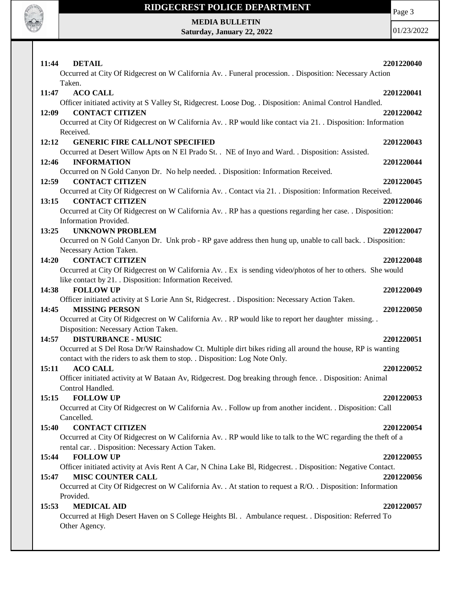

Page 3

**MEDIA BULLETIN Saturday, January 22, 2022**

| <b>DETAIL</b><br>11:44<br>Occurred at City Of Ridgecrest on W California Av. . Funeral procession. . Disposition: Necessary Action | 2201220040 |
|------------------------------------------------------------------------------------------------------------------------------------|------------|
| Taken.                                                                                                                             |            |
| <b>ACO CALL</b><br>11:47                                                                                                           | 2201220041 |
| Officer initiated activity at S Valley St, Ridgecrest. Loose Dog. . Disposition: Animal Control Handled.                           |            |
| <b>CONTACT CITIZEN</b><br>12:09                                                                                                    | 2201220042 |
| Occurred at City Of Ridgecrest on W California Av. . RP would like contact via 21. . Disposition: Information<br>Received.         |            |
| <b>GENERIC FIRE CALL/NOT SPECIFIED</b><br>12:12                                                                                    | 2201220043 |
| Occurred at Desert Willow Apts on N El Prado St. . NE of Inyo and Ward. . Disposition: Assisted.                                   |            |
| 12:46<br><b>INFORMATION</b>                                                                                                        | 2201220044 |
| Occurred on N Gold Canyon Dr. No help needed. . Disposition: Information Received.                                                 |            |
| <b>CONTACT CITIZEN</b><br>12:59                                                                                                    | 2201220045 |
| Occurred at City Of Ridgecrest on W California Av. . Contact via 21. . Disposition: Information Received.                          |            |
| <b>CONTACT CITIZEN</b><br>13:15                                                                                                    | 2201220046 |
| Occurred at City Of Ridgecrest on W California Av. . RP has a questions regarding her case. . Disposition:                         |            |
| Information Provided.                                                                                                              |            |
| <b>UNKNOWN PROBLEM</b><br>13:25                                                                                                    | 2201220047 |
| Occurred on N Gold Canyon Dr. Unk prob - RP gave address then hung up, unable to call back. . Disposition:                         |            |
| Necessary Action Taken.                                                                                                            |            |
| <b>CONTACT CITIZEN</b><br>14:20                                                                                                    | 2201220048 |
| Occurred at City Of Ridgecrest on W California Av. . Ex is sending video/photos of her to others. She would                        |            |
| like contact by 21. . Disposition: Information Received.                                                                           |            |
| <b>FOLLOW UP</b><br>14:38                                                                                                          | 2201220049 |
| Officer initiated activity at S Lorie Ann St, Ridgecrest. . Disposition: Necessary Action Taken.                                   |            |
| 14:45<br><b>MISSING PERSON</b>                                                                                                     | 2201220050 |
| Occurred at City Of Ridgecrest on W California Av. . RP would like to report her daughter missing. .                               |            |
| Disposition: Necessary Action Taken.                                                                                               |            |
| <b>DISTURBANCE - MUSIC</b><br>14:57                                                                                                | 2201220051 |
| Occurred at S Del Rosa Dr/W Rainshadow Ct. Multiple dirt bikes riding all around the house, RP is wanting                          |            |
| contact with the riders to ask them to stop. . Disposition: Log Note Only.                                                         |            |
| <b>ACO CALL</b><br>15:11                                                                                                           | 2201220052 |
| Officer initiated activity at W Bataan Av, Ridgecrest. Dog breaking through fence. . Disposition: Animal                           |            |
| Control Handled.                                                                                                                   |            |
| 15:15<br><b>FOLLOW UP</b>                                                                                                          | 2201220053 |
| Occurred at City Of Ridgecrest on W California Av. . Follow up from another incident. . Disposition: Call                          |            |
| Cancelled.                                                                                                                         |            |
| <b>CONTACT CITIZEN</b><br>15:40                                                                                                    | 2201220054 |
| Occurred at City Of Ridgecrest on W California Av. . RP would like to talk to the WC regarding the theft of a                      |            |
| rental car. . Disposition: Necessary Action Taken.                                                                                 |            |
| <b>FOLLOW UP</b><br>15:44                                                                                                          | 2201220055 |
| Officer initiated activity at Avis Rent A Car, N China Lake Bl, Ridgecrest. . Disposition: Negative Contact.                       |            |
| <b>MISC COUNTER CALL</b><br>15:47                                                                                                  | 2201220056 |
| Occurred at City Of Ridgecrest on W California Av. . At station to request a R/O. . Disposition: Information                       |            |
| Provided.                                                                                                                          |            |
| <b>MEDICAL AID</b><br>15:53                                                                                                        | 2201220057 |
| Occurred at High Desert Haven on S College Heights Bl. . Ambulance request. . Disposition: Referred To<br>Other Agency.            |            |
|                                                                                                                                    |            |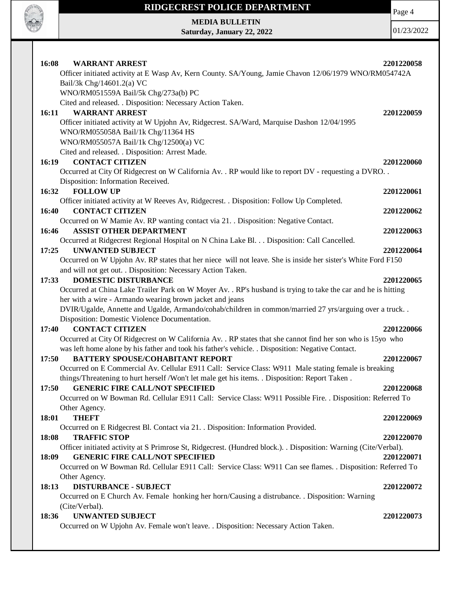

Page 4

**MEDIA BULLETIN Saturday, January 22, 2022**

| 16:08<br><b>WARRANT ARREST</b>                                                                                   | 2201220058 |
|------------------------------------------------------------------------------------------------------------------|------------|
| Officer initiated activity at E Wasp Av, Kern County. SA/Young, Jamie Chavon 12/06/1979 WNO/RM054742A            |            |
| Bail/3k Chg/14601.2(a) VC                                                                                        |            |
| WNO/RM051559A Bail/5k Chg/273a(b) PC                                                                             |            |
| Cited and released. . Disposition: Necessary Action Taken.                                                       |            |
| <b>WARRANT ARREST</b><br>16:11                                                                                   | 2201220059 |
| Officer initiated activity at W Upjohn Av, Ridgecrest. SA/Ward, Marquise Dashon 12/04/1995                       |            |
| WNO/RM055058A Bail/1k Chg/11364 HS                                                                               |            |
| WNO/RM055057A Bail/1k Chg/12500(a) VC                                                                            |            |
| Cited and released. . Disposition: Arrest Made.                                                                  |            |
| <b>CONTACT CITIZEN</b><br>16:19                                                                                  | 2201220060 |
| Occurred at City Of Ridgecrest on W California Av. . RP would like to report DV - requesting a DVRO. .           |            |
|                                                                                                                  |            |
| Disposition: Information Received.                                                                               |            |
| <b>FOLLOW UP</b><br>16:32                                                                                        | 2201220061 |
| Officer initiated activity at W Reeves Av, Ridgecrest. . Disposition: Follow Up Completed.                       |            |
| <b>CONTACT CITIZEN</b><br>16:40                                                                                  | 2201220062 |
| Occurred on W Mamie Av. RP wanting contact via 21. Disposition: Negative Contact.                                |            |
| <b>ASSIST OTHER DEPARTMENT</b><br>16:46                                                                          | 2201220063 |
| Occurred at Ridgecrest Regional Hospital on N China Lake Bl. Disposition: Call Cancelled.                        |            |
| <b>UNWANTED SUBJECT</b><br>17:25                                                                                 | 2201220064 |
| Occurred on W Upjohn Av. RP states that her niece will not leave. She is inside her sister's White Ford F150     |            |
| and will not get out. . Disposition: Necessary Action Taken.                                                     |            |
| <b>DOMESTIC DISTURBANCE</b><br>17:33                                                                             | 2201220065 |
| Occurred at China Lake Trailer Park on W Moyer Av. . RP's husband is trying to take the car and he is hitting    |            |
| her with a wire - Armando wearing brown jacket and jeans                                                         |            |
| DVIR/Ugalde, Annette and Ugalde, Armando/cohab/children in common/married 27 yrs/arguing over a truck            |            |
| Disposition: Domestic Violence Documentation.                                                                    |            |
| <b>CONTACT CITIZEN</b><br>17:40                                                                                  | 2201220066 |
| Occurred at City Of Ridgecrest on W California Av. . RP states that she cannot find her son who is 15yo who      |            |
| was left home alone by his father and took his father's vehicle. . Disposition: Negative Contact.                |            |
| <b>BATTERY SPOUSE/COHABITANT REPORT</b><br>17:50                                                                 | 2201220067 |
| Occurred on E Commercial Av. Cellular E911 Call: Service Class: W911 Male stating female is breaking             |            |
| things/Threatening to hurt herself /Won't let male get his items. . Disposition: Report Taken.                   |            |
| <b>GENERIC FIRE CALL/NOT SPECIFIED</b><br>17:50                                                                  | 2201220068 |
| Occurred on W Bowman Rd. Cellular E911 Call: Service Class: W911 Possible Fire. . Disposition: Referred To       |            |
| Other Agency.                                                                                                    |            |
| <b>THEFT</b><br>18:01                                                                                            | 2201220069 |
| Occurred on E Ridgecrest Bl. Contact via 21. . Disposition: Information Provided.                                |            |
| <b>TRAFFIC STOP</b><br>18:08                                                                                     | 2201220070 |
|                                                                                                                  |            |
| Officer initiated activity at S Primrose St, Ridgecrest. (Hundred block.). . Disposition: Warning (Cite/Verbal). |            |
| <b>GENERIC FIRE CALL/NOT SPECIFIED</b><br>18:09                                                                  | 2201220071 |
| Occurred on W Bowman Rd. Cellular E911 Call: Service Class: W911 Can see flames. . Disposition: Referred To      |            |
| Other Agency.                                                                                                    |            |
| <b>DISTURBANCE - SUBJECT</b><br>18:13                                                                            | 2201220072 |
| Occurred on E Church Av. Female honking her horn/Causing a distrubance. . Disposition: Warning                   |            |
| (Cite/Verbal).                                                                                                   |            |
| <b>UNWANTED SUBJECT</b><br>18:36                                                                                 | 2201220073 |
| Occurred on W Upjohn Av. Female won't leave. . Disposition: Necessary Action Taken.                              |            |
|                                                                                                                  |            |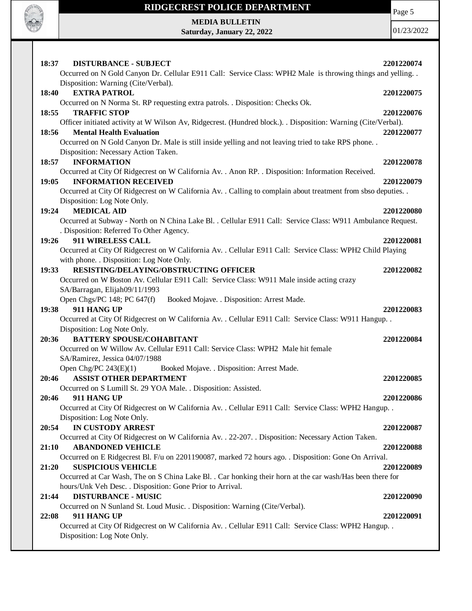

Page 5

**MEDIA BULLETIN Saturday, January 22, 2022**

| 18:37<br><b>DISTURBANCE - SUBJECT</b><br>Occurred on N Gold Canyon Dr. Cellular E911 Call: Service Class: WPH2 Male is throwing things and yelling | 2201220074 |
|----------------------------------------------------------------------------------------------------------------------------------------------------|------------|
| Disposition: Warning (Cite/Verbal).                                                                                                                |            |
| 18:40<br><b>EXTRA PATROL</b>                                                                                                                       | 2201220075 |
| Occurred on N Norma St. RP requesting extra patrols. . Disposition: Checks Ok.                                                                     |            |
| <b>TRAFFIC STOP</b><br>18:55                                                                                                                       | 2201220076 |
| Officer initiated activity at W Wilson Av, Ridgecrest. (Hundred block.). Disposition: Warning (Cite/Verbal).                                       |            |
| 18:56<br><b>Mental Health Evaluation</b>                                                                                                           | 2201220077 |
| Occurred on N Gold Canyon Dr. Male is still inside yelling and not leaving tried to take RPS phone. .                                              |            |
| Disposition: Necessary Action Taken.                                                                                                               |            |
| <b>INFORMATION</b><br>18:57                                                                                                                        | 2201220078 |
| Occurred at City Of Ridgecrest on W California Av. . Anon RP. . Disposition: Information Received.                                                 |            |
| <b>INFORMATION RECEIVED</b><br>19:05                                                                                                               | 2201220079 |
| Occurred at City Of Ridgecrest on W California Av. . Calling to complain about treatment from sbso deputies. .                                     |            |
| Disposition: Log Note Only.                                                                                                                        |            |
| <b>MEDICAL AID</b><br>19:24                                                                                                                        | 2201220080 |
| Occurred at Subway - North on N China Lake Bl. . Cellular E911 Call: Service Class: W911 Ambulance Request.                                        |            |
| . Disposition: Referred To Other Agency.                                                                                                           |            |
| 911 WIRELESS CALL<br>19:26                                                                                                                         | 2201220081 |
| Occurred at City Of Ridgecrest on W California Av. . Cellular E911 Call: Service Class: WPH2 Child Playing                                         |            |
| with phone. . Disposition: Log Note Only.                                                                                                          |            |
| RESISTING/DELAYING/OBSTRUCTING OFFICER<br>19:33                                                                                                    | 2201220082 |
| Occurred on W Boston Av. Cellular E911 Call: Service Class: W911 Male inside acting crazy                                                          |            |
| SA/Barragan, Elijah09/11/1993                                                                                                                      |            |
| Open Chgs/PC 148; PC 647(f)<br>Booked Mojave. . Disposition: Arrest Made.                                                                          |            |
| 911 HANG UP<br>19:38                                                                                                                               | 2201220083 |
| Occurred at City Of Ridgecrest on W California Av. . Cellular E911 Call: Service Class: W911 Hangup. .                                             |            |
| Disposition: Log Note Only.                                                                                                                        |            |
| <b>BATTERY SPOUSE/COHABITANT</b><br>20:36                                                                                                          | 2201220084 |
| Occurred on W Willow Av. Cellular E911 Call: Service Class: WPH2 Male hit female                                                                   |            |
| SA/Ramirez, Jessica 04/07/1988                                                                                                                     |            |
| Open Chg/PC $243(E)(1)$<br>Booked Mojave. . Disposition: Arrest Made.                                                                              |            |
| 20:46<br><b>ASSIST OTHER DEPARTMENT</b>                                                                                                            | 2201220085 |
| Occurred on S Lumill St. 29 YOA Male. . Disposition: Assisted.                                                                                     |            |
| 20:46<br>911 HANG UP                                                                                                                               | 2201220086 |
| Occurred at City Of Ridgecrest on W California Av. . Cellular E911 Call: Service Class: WPH2 Hangup. .                                             |            |
| Disposition: Log Note Only.                                                                                                                        |            |
| IN CUSTODY ARREST<br>20:54                                                                                                                         | 2201220087 |
| Occurred at City Of Ridgecrest on W California Av. . 22-207. . Disposition: Necessary Action Taken.                                                |            |
| 21:10<br><b>ABANDONED VEHICLE</b>                                                                                                                  | 2201220088 |
| Occurred on E Ridgecrest Bl. F/u on 2201190087, marked 72 hours ago. . Disposition: Gone On Arrival.                                               |            |
| <b>SUSPICIOUS VEHICLE</b><br>21:20                                                                                                                 | 2201220089 |
| Occurred at Car Wash, The on S China Lake Bl. . Car honking their horn at the car wash/Has been there for                                          |            |
| hours/Unk Veh Desc. . Disposition: Gone Prior to Arrival.                                                                                          |            |
| <b>DISTURBANCE - MUSIC</b><br>21:44                                                                                                                | 2201220090 |
| Occurred on N Sunland St. Loud Music. . Disposition: Warning (Cite/Verbal).                                                                        |            |
| 22:08<br>911 HANG UP                                                                                                                               | 2201220091 |
| Occurred at City Of Ridgecrest on W California Av. . Cellular E911 Call: Service Class: WPH2 Hangup. .                                             |            |
| Disposition: Log Note Only.                                                                                                                        |            |
|                                                                                                                                                    |            |